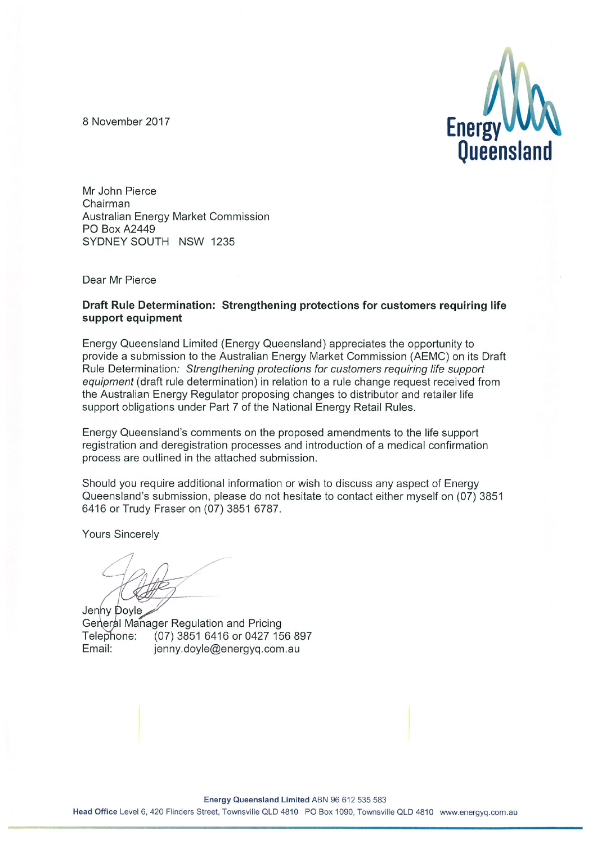8 November 2017



Mr John Pierce Chairman Australian Energy Market Commission **PO Box A2449** SYDNEY SOUTH NSW 1235

Dear Mr Pierce

#### Draft Rule Determination: Strengthening protections for customers requiring life support equipment

Energy Queensland Limited (Energy Queensland) appreciates the opportunity to provide a submission to the Australian Energy Market Commission (AEMC) on its Draft Rule Determination: Strengthening protections for customers requiring life support equipment (draft rule determination) in relation to a rule change request received from the Australian Energy Regulator proposing changes to distributor and retailer life support obligations under Part 7 of the National Energy Retail Rules.

Energy Queensland's comments on the proposed amendments to the life support registration and deregistration processes and introduction of a medical confirmation process are outlined in the attached submission.

Should you require additional information or wish to discuss any aspect of Energy Queensland's submission, please do not hesitate to contact either myself on (07) 3851 6416 or Trudy Fraser on (07) 3851 6787.

**Yours Sincerely** 

Jenny Doyle General Manager Regulation and Pricing Telephone: (07) 3851 6416 or 0427 156 897 Email: jenny.doyle@energyq.com.au

Energy Queensland Limited ABN 96 612 535 583 Head Office Level 6, 420 Flinders Street, Townsville QLD 4810 PO Box 1090, Townsville QLD 4810 www.energyq.com.au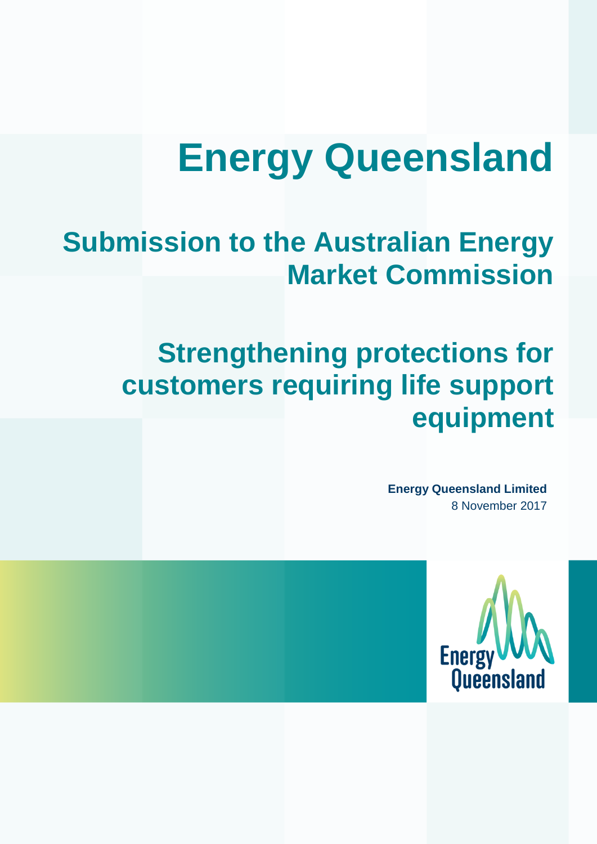# **Energy Queensland**

# **Submission to the Australian Energy Market Commission**

# **Strengthening protections for customers requiring life support equipment**

**Energy Queensland Limited** 8 November 2017

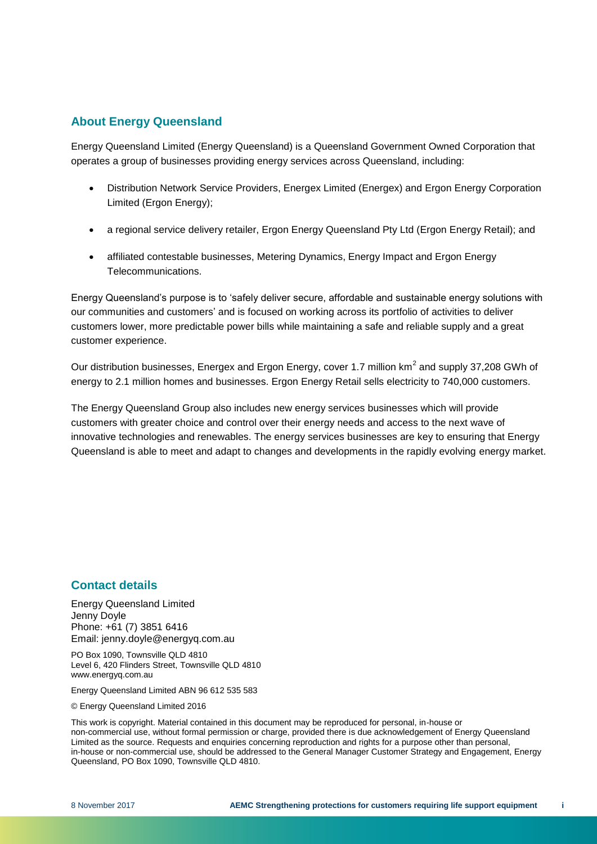#### **About Energy Queensland**

Energy Queensland Limited (Energy Queensland) is a Queensland Government Owned Corporation that operates a group of businesses providing energy services across Queensland, including:

- Distribution Network Service Providers, Energex Limited (Energex) and Ergon Energy Corporation Limited (Ergon Energy);
- a regional service delivery retailer, Ergon Energy Queensland Pty Ltd (Ergon Energy Retail); and
- affiliated contestable businesses, Metering Dynamics, Energy Impact and Ergon Energy Telecommunications.

Energy Queensland's purpose is to 'safely deliver secure, affordable and sustainable energy solutions with our communities and customers' and is focused on working across its portfolio of activities to deliver customers lower, more predictable power bills while maintaining a safe and reliable supply and a great customer experience.

Our distribution businesses, Energex and Ergon Energy, cover 1.7 million  $km^2$  and supply 37,208 GWh of energy to 2.1 million homes and businesses. Ergon Energy Retail sells electricity to 740,000 customers.

The Energy Queensland Group also includes new energy services businesses which will provide customers with greater choice and control over their energy needs and access to the next wave of innovative technologies and renewables. The energy services businesses are key to ensuring that Energy Queensland is able to meet and adapt to changes and developments in the rapidly evolving energy market.

#### **Contact details**

Energy Queensland Limited Jenny Doyle Phone: +61 (7) 3851 6416 Email: jenny.doyle@energyq.com.au

PO Box 1090, Townsville QLD 4810 Level 6, 420 Flinders Street, Townsville QLD 4810 www.energyq.com.au

Energy Queensland Limited ABN 96 612 535 583

© Energy Queensland Limited 2016

This work is copyright. Material contained in this document may be reproduced for personal, in-house or non-commercial use, without formal permission or charge, provided there is due acknowledgement of Energy Queensland Limited as the source. Requests and enquiries concerning reproduction and rights for a purpose other than personal, in-house or non-commercial use, should be addressed to the General Manager Customer Strategy and Engagement, Energy Queensland, PO Box 1090, Townsville QLD 4810.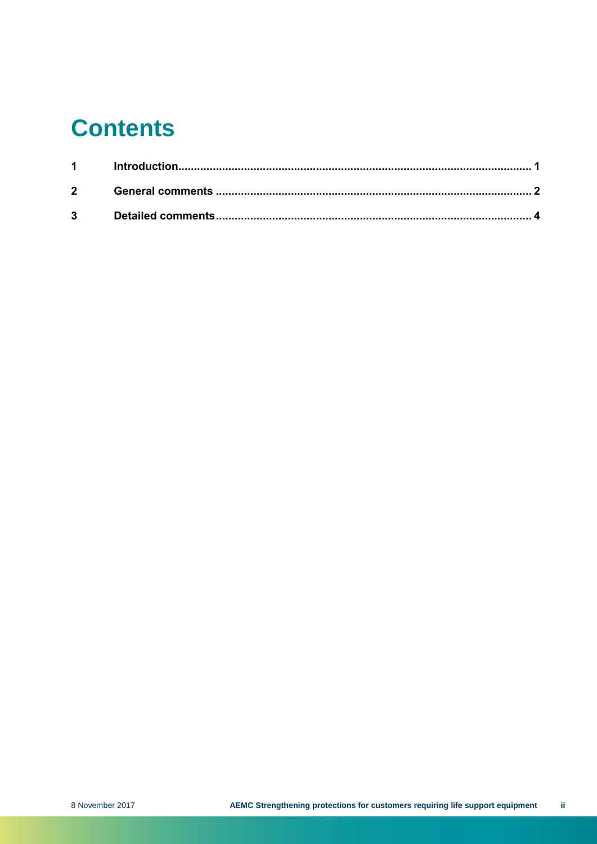# **Contents**

| $2 \left( \frac{1}{2} \right)$ |  |
|--------------------------------|--|
|                                |  |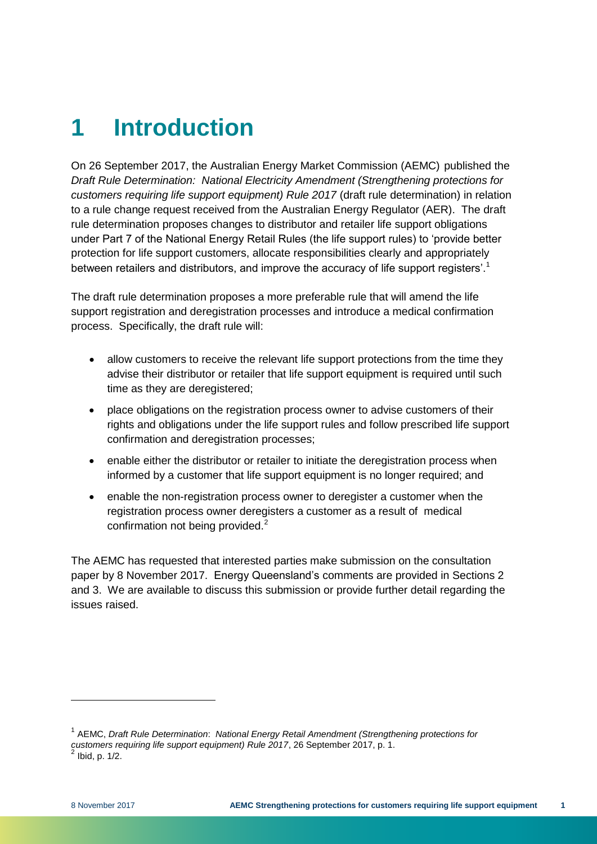# <span id="page-4-0"></span>**1 Introduction**

On 26 September 2017, the Australian Energy Market Commission (AEMC) published the *Draft Rule Determination: National Electricity Amendment (Strengthening protections for customers requiring life support equipment) Rule 2017* (draft rule determination) in relation to a rule change request received from the Australian Energy Regulator (AER). The draft rule determination proposes changes to distributor and retailer life support obligations under Part 7 of the National Energy Retail Rules (the life support rules) to 'provide better protection for life support customers, allocate responsibilities clearly and appropriately between retailers and distributors, and improve the accuracy of life support registers'.<sup>1</sup>

The draft rule determination proposes a more preferable rule that will amend the life support registration and deregistration processes and introduce a medical confirmation process. Specifically, the draft rule will:

- allow customers to receive the relevant life support protections from the time they advise their distributor or retailer that life support equipment is required until such time as they are deregistered;
- place obligations on the registration process owner to advise customers of their rights and obligations under the life support rules and follow prescribed life support confirmation and deregistration processes;
- enable either the distributor or retailer to initiate the deregistration process when informed by a customer that life support equipment is no longer required; and
- enable the non-registration process owner to deregister a customer when the registration process owner deregisters a customer as a result of medical confirmation not being provided.<sup>2</sup>

The AEMC has requested that interested parties make submission on the consultation paper by 8 November 2017. Energy Queensland's comments are provided in Sections 2 and 3. We are available to discuss this submission or provide further detail regarding the issues raised.

l

<sup>&</sup>lt;sup>1</sup> AEMC, *Draft Rule Determination*: *National Energy Retail Amendment (Strengthening protections for customers requiring life support equipment) Rule 2017*, 26 September 2017, p. 1. 2 Ibid, p. 1/2.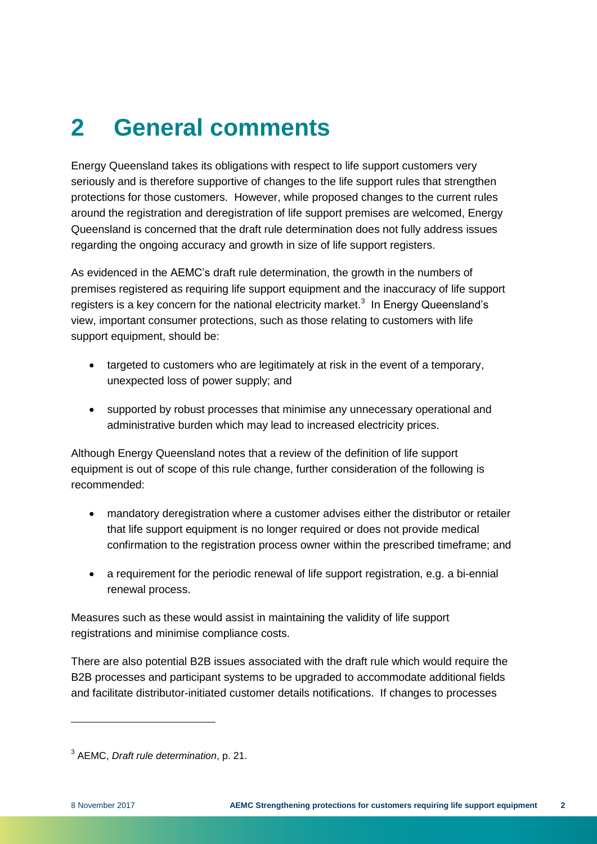# <span id="page-5-0"></span>**2 General comments**

Energy Queensland takes its obligations with respect to life support customers very seriously and is therefore supportive of changes to the life support rules that strengthen protections for those customers. However, while proposed changes to the current rules around the registration and deregistration of life support premises are welcomed, Energy Queensland is concerned that the draft rule determination does not fully address issues regarding the ongoing accuracy and growth in size of life support registers.

As evidenced in the AEMC's draft rule determination, the growth in the numbers of premises registered as requiring life support equipment and the inaccuracy of life support registers is a key concern for the national electricity market.<sup>3</sup> In Energy Queensland's view, important consumer protections, such as those relating to customers with life support equipment, should be:

- targeted to customers who are legitimately at risk in the event of a temporary, unexpected loss of power supply; and
- supported by robust processes that minimise any unnecessary operational and administrative burden which may lead to increased electricity prices.

Although Energy Queensland notes that a review of the definition of life support equipment is out of scope of this rule change, further consideration of the following is recommended:

- mandatory deregistration where a customer advises either the distributor or retailer that life support equipment is no longer required or does not provide medical confirmation to the registration process owner within the prescribed timeframe; and
- a requirement for the periodic renewal of life support registration, e.g. a bi-ennial renewal process.

Measures such as these would assist in maintaining the validity of life support registrations and minimise compliance costs.

There are also potential B2B issues associated with the draft rule which would require the B2B processes and participant systems to be upgraded to accommodate additional fields and facilitate distributor-initiated customer details notifications. If changes to processes

l

<sup>3</sup> AEMC, *Draft rule determination*, p. 21.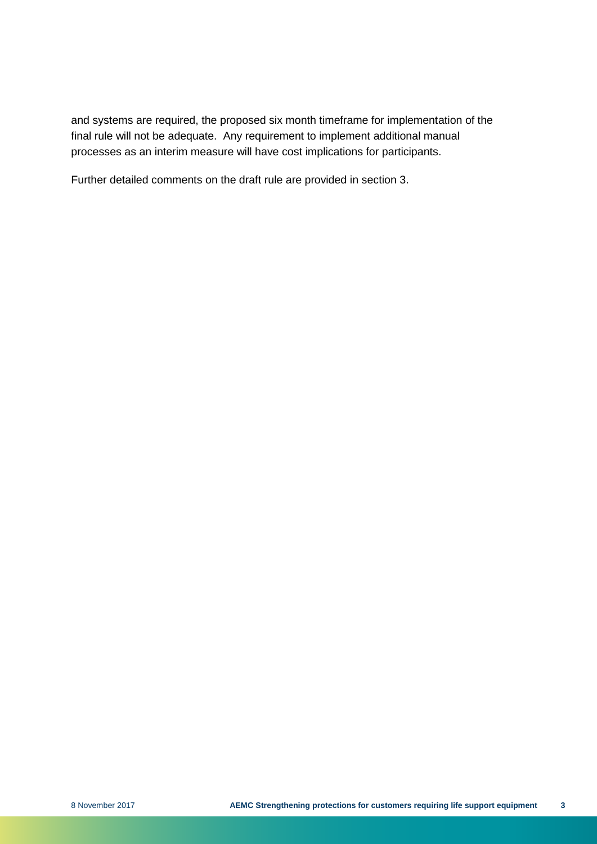and systems are required, the proposed six month timeframe for implementation of the final rule will not be adequate. Any requirement to implement additional manual processes as an interim measure will have cost implications for participants.

Further detailed comments on the draft rule are provided in section 3.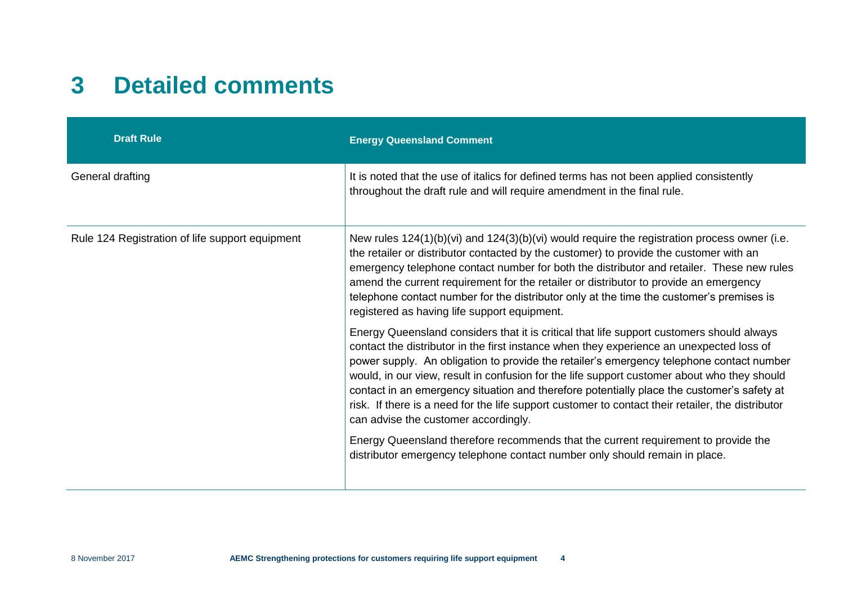### **3 Detailed comments**

<span id="page-7-0"></span>

| <b>Draft Rule</b>                               | <b>Energy Queensland Comment</b>                                                                                                                                                                                                                                                                                                                                                                                                                                                                                                                                                                                            |
|-------------------------------------------------|-----------------------------------------------------------------------------------------------------------------------------------------------------------------------------------------------------------------------------------------------------------------------------------------------------------------------------------------------------------------------------------------------------------------------------------------------------------------------------------------------------------------------------------------------------------------------------------------------------------------------------|
| General drafting                                | It is noted that the use of italics for defined terms has not been applied consistently<br>throughout the draft rule and will require amendment in the final rule.                                                                                                                                                                                                                                                                                                                                                                                                                                                          |
| Rule 124 Registration of life support equipment | New rules $124(1)(b)(vi)$ and $124(3)(b)(vi)$ would require the registration process owner (i.e.<br>the retailer or distributor contacted by the customer) to provide the customer with an<br>emergency telephone contact number for both the distributor and retailer. These new rules<br>amend the current requirement for the retailer or distributor to provide an emergency<br>telephone contact number for the distributor only at the time the customer's premises is<br>registered as having life support equipment.                                                                                                |
|                                                 | Energy Queensland considers that it is critical that life support customers should always<br>contact the distributor in the first instance when they experience an unexpected loss of<br>power supply. An obligation to provide the retailer's emergency telephone contact number<br>would, in our view, result in confusion for the life support customer about who they should<br>contact in an emergency situation and therefore potentially place the customer's safety at<br>risk. If there is a need for the life support customer to contact their retailer, the distributor<br>can advise the customer accordingly. |
|                                                 | Energy Queensland therefore recommends that the current requirement to provide the<br>distributor emergency telephone contact number only should remain in place.                                                                                                                                                                                                                                                                                                                                                                                                                                                           |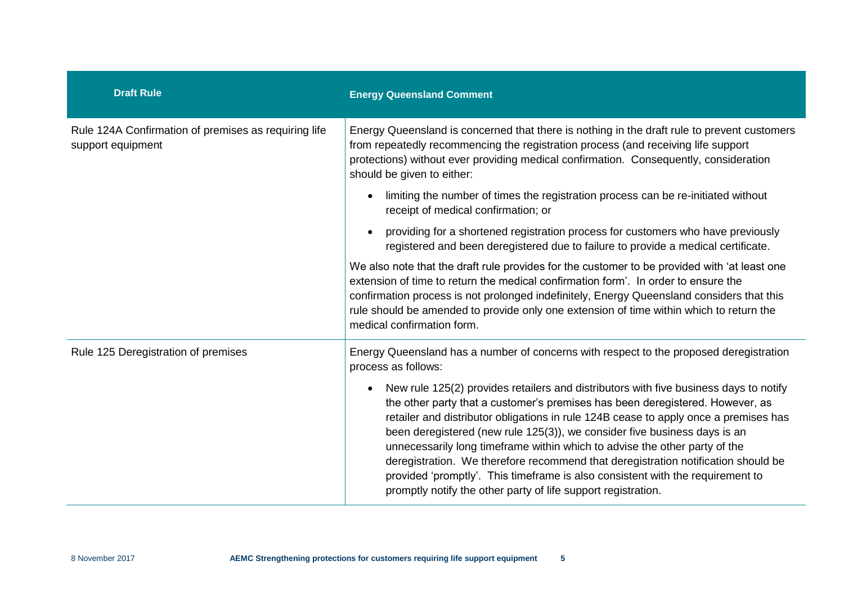| <b>Draft Rule</b>                                                         | <b>Energy Queensland Comment</b>                                                                                                                                                                                                                                                                                                                                                                                                                                                                                                                                                                                                                                               |
|---------------------------------------------------------------------------|--------------------------------------------------------------------------------------------------------------------------------------------------------------------------------------------------------------------------------------------------------------------------------------------------------------------------------------------------------------------------------------------------------------------------------------------------------------------------------------------------------------------------------------------------------------------------------------------------------------------------------------------------------------------------------|
| Rule 124A Confirmation of premises as requiring life<br>support equipment | Energy Queensland is concerned that there is nothing in the draft rule to prevent customers<br>from repeatedly recommencing the registration process (and receiving life support<br>protections) without ever providing medical confirmation. Consequently, consideration<br>should be given to either:                                                                                                                                                                                                                                                                                                                                                                        |
|                                                                           | limiting the number of times the registration process can be re-initiated without<br>$\bullet$<br>receipt of medical confirmation; or                                                                                                                                                                                                                                                                                                                                                                                                                                                                                                                                          |
|                                                                           | providing for a shortened registration process for customers who have previously<br>$\bullet$<br>registered and been deregistered due to failure to provide a medical certificate.                                                                                                                                                                                                                                                                                                                                                                                                                                                                                             |
|                                                                           | We also note that the draft rule provides for the customer to be provided with 'at least one<br>extension of time to return the medical confirmation form'. In order to ensure the<br>confirmation process is not prolonged indefinitely, Energy Queensland considers that this<br>rule should be amended to provide only one extension of time within which to return the<br>medical confirmation form.                                                                                                                                                                                                                                                                       |
| Rule 125 Deregistration of premises                                       | Energy Queensland has a number of concerns with respect to the proposed deregistration<br>process as follows:                                                                                                                                                                                                                                                                                                                                                                                                                                                                                                                                                                  |
|                                                                           | New rule 125(2) provides retailers and distributors with five business days to notify<br>$\bullet$<br>the other party that a customer's premises has been deregistered. However, as<br>retailer and distributor obligations in rule 124B cease to apply once a premises has<br>been deregistered (new rule 125(3)), we consider five business days is an<br>unnecessarily long timeframe within which to advise the other party of the<br>deregistration. We therefore recommend that deregistration notification should be<br>provided 'promptly'. This timeframe is also consistent with the requirement to<br>promptly notify the other party of life support registration. |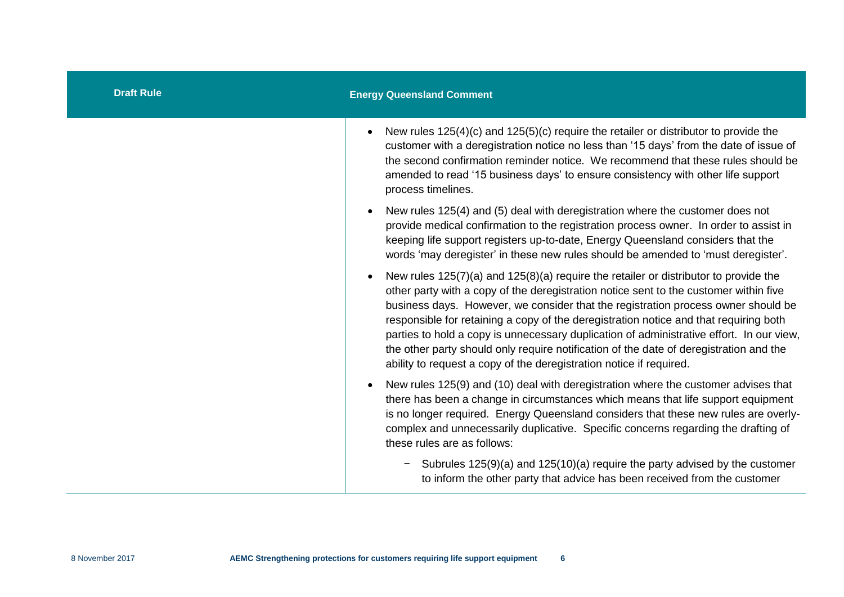| <b>Draft Rule</b> | <b>Energy Queensland Comment</b>                                                                                                                                                                                                                                                                                                                                                                                                                                                                                                                                                                                         |
|-------------------|--------------------------------------------------------------------------------------------------------------------------------------------------------------------------------------------------------------------------------------------------------------------------------------------------------------------------------------------------------------------------------------------------------------------------------------------------------------------------------------------------------------------------------------------------------------------------------------------------------------------------|
|                   | New rules 125(4)(c) and 125(5)(c) require the retailer or distributor to provide the<br>customer with a deregistration notice no less than '15 days' from the date of issue of<br>the second confirmation reminder notice. We recommend that these rules should be<br>amended to read '15 business days' to ensure consistency with other life support<br>process timelines.                                                                                                                                                                                                                                             |
|                   | New rules 125(4) and (5) deal with deregistration where the customer does not<br>provide medical confirmation to the registration process owner. In order to assist in<br>keeping life support registers up-to-date, Energy Queensland considers that the<br>words 'may deregister' in these new rules should be amended to 'must deregister'.                                                                                                                                                                                                                                                                           |
|                   | New rules 125(7)(a) and 125(8)(a) require the retailer or distributor to provide the<br>other party with a copy of the deregistration notice sent to the customer within five<br>business days. However, we consider that the registration process owner should be<br>responsible for retaining a copy of the deregistration notice and that requiring both<br>parties to hold a copy is unnecessary duplication of administrative effort. In our view,<br>the other party should only require notification of the date of deregistration and the<br>ability to request a copy of the deregistration notice if required. |
|                   | New rules 125(9) and (10) deal with deregistration where the customer advises that<br>there has been a change in circumstances which means that life support equipment<br>is no longer required. Energy Queensland considers that these new rules are overly-<br>complex and unnecessarily duplicative. Specific concerns regarding the drafting of<br>these rules are as follows:                                                                                                                                                                                                                                       |
|                   | Subrules 125(9)(a) and 125(10)(a) require the party advised by the customer<br>to inform the other party that advice has been received from the customer                                                                                                                                                                                                                                                                                                                                                                                                                                                                 |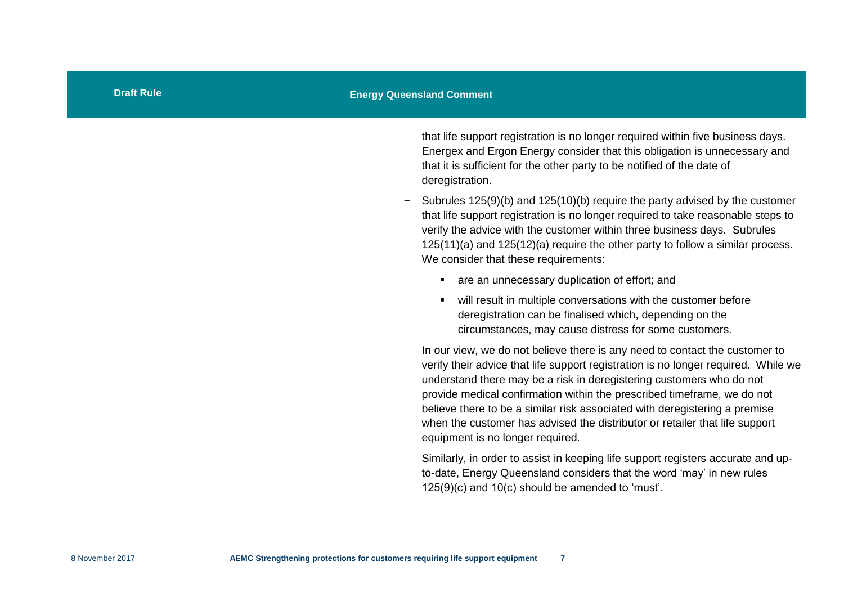| <b>Draft Rule</b> | <b>Energy Queensland Comment</b>                                                                                                                                                                                                                                                                                                                                                                                                                                                                                      |
|-------------------|-----------------------------------------------------------------------------------------------------------------------------------------------------------------------------------------------------------------------------------------------------------------------------------------------------------------------------------------------------------------------------------------------------------------------------------------------------------------------------------------------------------------------|
|                   | that life support registration is no longer required within five business days.<br>Energex and Ergon Energy consider that this obligation is unnecessary and<br>that it is sufficient for the other party to be notified of the date of<br>deregistration.                                                                                                                                                                                                                                                            |
|                   | Subrules 125(9)(b) and 125(10)(b) require the party advised by the customer<br>$\overline{\phantom{0}}$<br>that life support registration is no longer required to take reasonable steps to<br>verify the advice with the customer within three business days. Subrules<br>$125(11)(a)$ and $125(12)(a)$ require the other party to follow a similar process.<br>We consider that these requirements:                                                                                                                 |
|                   | are an unnecessary duplication of effort; and<br>٠                                                                                                                                                                                                                                                                                                                                                                                                                                                                    |
|                   | will result in multiple conversations with the customer before<br>٠<br>deregistration can be finalised which, depending on the<br>circumstances, may cause distress for some customers.                                                                                                                                                                                                                                                                                                                               |
|                   | In our view, we do not believe there is any need to contact the customer to<br>verify their advice that life support registration is no longer required. While we<br>understand there may be a risk in deregistering customers who do not<br>provide medical confirmation within the prescribed timeframe, we do not<br>believe there to be a similar risk associated with deregistering a premise<br>when the customer has advised the distributor or retailer that life support<br>equipment is no longer required. |
|                   | Similarly, in order to assist in keeping life support registers accurate and up-<br>to-date, Energy Queensland considers that the word 'may' in new rules<br>125(9)(c) and 10(c) should be amended to 'must'.                                                                                                                                                                                                                                                                                                         |